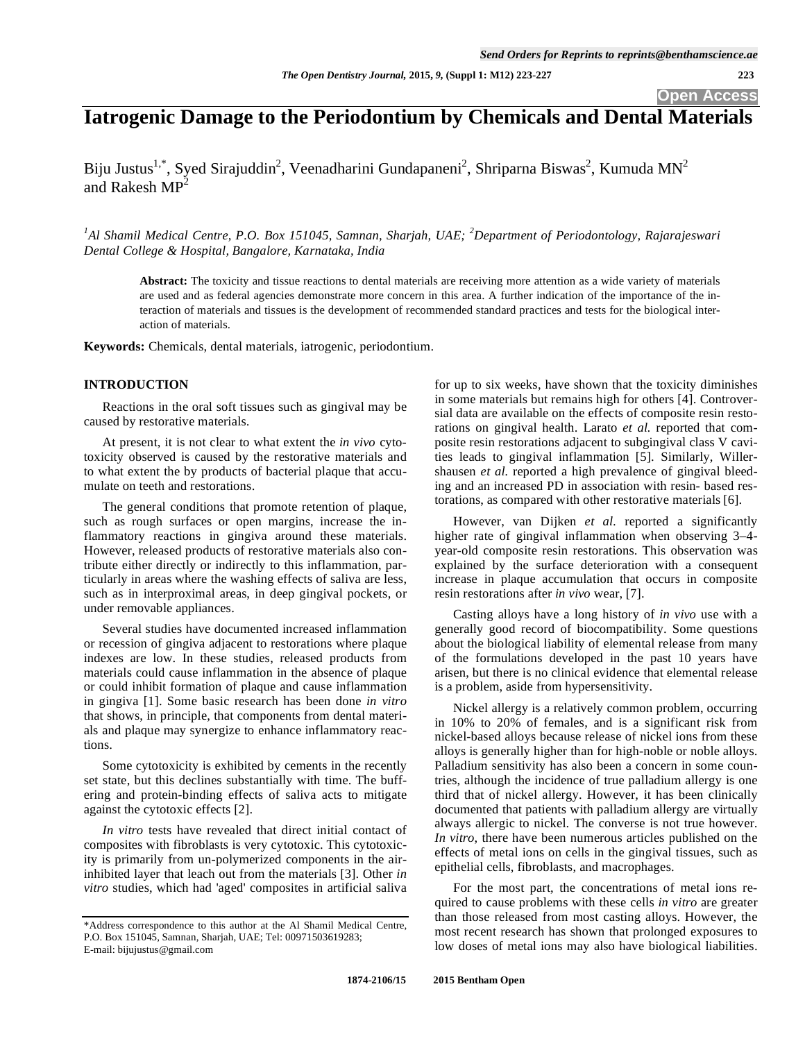# **Iatrogenic Damage to the Periodontium by Chemicals and Dental Materials**

Biju Justus<sup>1,\*</sup>, Syed Sirajuddin<sup>2</sup>, Veenadharini Gundapaneni<sup>2</sup>, Shriparna Biswas<sup>2</sup>, Kumuda MN<sup>2</sup> and Rakesh MP<sup>2</sup>

<sup>1</sup>Al Shamil Medical Centre, P.O. Box 151045, Samnan, Sharjah, UAE; <sup>2</sup>Department of Periodontology, Rajarajeswari *Dental College & Hospital, Bangalore, Karnataka, India*

**Abstract:** The toxicity and tissue reactions to dental materials are receiving more attention as a wide variety of materials are used and as federal agencies demonstrate more concern in this area. A further indication of the importance of the interaction of materials and tissues is the development of recommended standard practices and tests for the biological interaction of materials.

**Keywords:** Chemicals, dental materials, iatrogenic, periodontium.

# **INTRODUCTION**

Reactions in the oral soft tissues such as gingival may be caused by restorative materials.

At present, it is not clear to what extent the *in vivo* cytotoxicity observed is caused by the restorative materials and to what extent the by products of bacterial plaque that accumulate on teeth and restorations.

The general conditions that promote retention of plaque, such as rough surfaces or open margins, increase the inflammatory reactions in gingiva around these materials. However, released products of restorative materials also contribute either directly or indirectly to this inflammation, particularly in areas where the washing effects of saliva are less, such as in interproximal areas, in deep gingival pockets, or under removable appliances.

Several studies have documented increased inflammation or recession of gingiva adjacent to restorations where plaque indexes are low. In these studies, released products from materials could cause inflammation in the absence of plaque or could inhibit formation of plaque and cause inflammation in gingiva [1]. Some basic research has been done *in vitro* that shows, in principle, that components from dental materials and plaque may synergize to enhance inflammatory reactions.

Some cytotoxicity is exhibited by cements in the recently set state, but this declines substantially with time. The buffering and protein-binding effects of saliva acts to mitigate against the cytotoxic effects [2].

*In vitro* tests have revealed that direct initial contact of composites with fibroblasts is very cytotoxic. This cytotoxicity is primarily from un-polymerized components in the airinhibited layer that leach out from the materials [3]. Other *in vitro* studies, which had 'aged' composites in artificial saliva

for up to six weeks, have shown that the toxicity diminishes in some materials but remains high for others [4]. Controversial data are available on the effects of composite resin restorations on gingival health. Larato *et al.* reported that composite resin restorations adjacent to subgingival class V cavities leads to gingival inflammation [5]. Similarly, Willershausen *et al.* reported a high prevalence of gingival bleeding and an increased PD in association with resin- based restorations, as compared with other restorative materials [6].

However, van Dijken *et al.* reported a significantly higher rate of gingival inflammation when observing 3–4 year-old composite resin restorations. This observation was explained by the surface deterioration with a consequent increase in plaque accumulation that occurs in composite resin restorations after *in vivo* wear, [7].

Casting alloys have a long history of *in vivo* use with a generally good record of biocompatibility. Some questions about the biological liability of elemental release from many of the formulations developed in the past 10 years have arisen, but there is no clinical evidence that elemental release is a problem, aside from hypersensitivity.

Nickel allergy is a relatively common problem, occurring in 10% to 20% of females, and is a significant risk from nickel-based alloys because release of nickel ions from these alloys is generally higher than for high-noble or noble alloys. Palladium sensitivity has also been a concern in some countries, although the incidence of true palladium allergy is one third that of nickel allergy. However, it has been clinically documented that patients with palladium allergy are virtually always allergic to nickel. The converse is not true however. *In vitro*, there have been numerous articles published on the effects of metal ions on cells in the gingival tissues, such as epithelial cells, fibroblasts, and macrophages.

For the most part, the concentrations of metal ions required to cause problems with these cells *in vitro* are greater than those released from most casting alloys. However, the most recent research has shown that prolonged exposures to low doses of metal ions may also have biological liabilities.

<sup>\*</sup>Address correspondence to this author at the Al Shamil Medical Centre, P.O. Box 151045, Samnan, Sharjah, UAE; Tel: 00971503619283; E-mail: bijujustus@gmail.com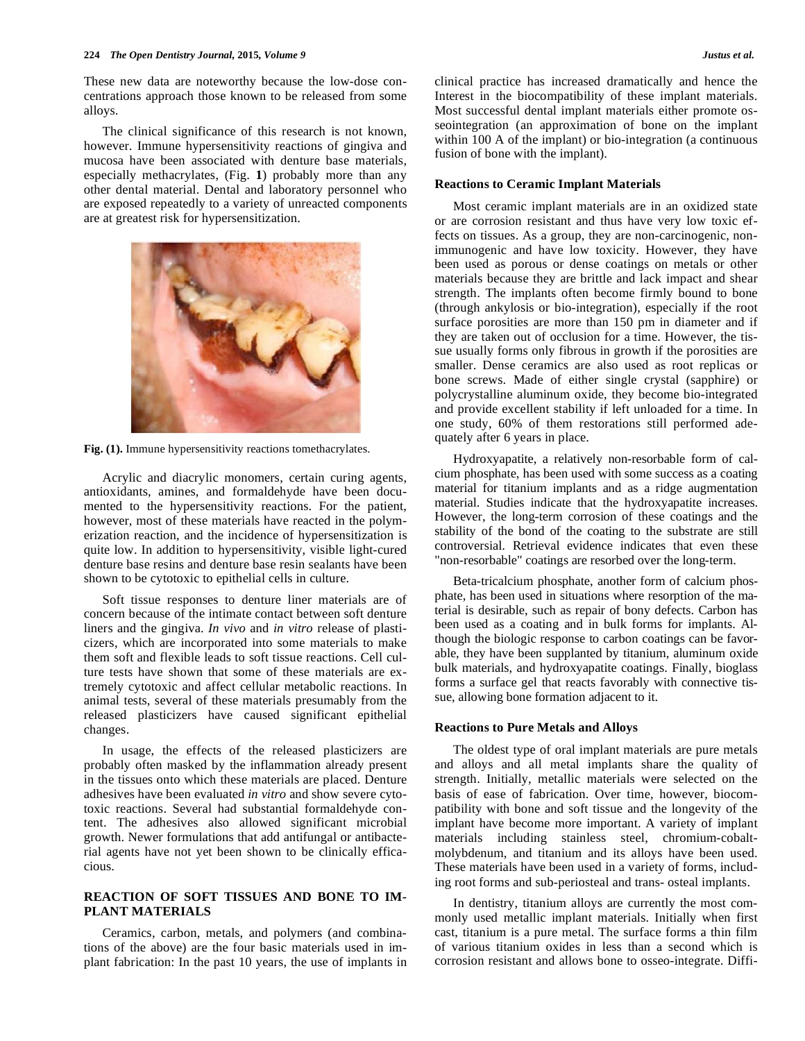These new data are noteworthy because the low-dose concentrations approach those known to be released from some alloys.

The clinical significance of this research is not known, however. Immune hypersensitivity reactions of gingiva and mucosa have been associated with denture base materials, especially methacrylates, (Fig. **1**) probably more than any other dental material. Dental and laboratory personnel who are exposed repeatedly to a variety of unreacted components are at greatest risk for hypersensitization.



**Fig. (1).** Immune hypersensitivity reactions tomethacrylates.

Acrylic and diacrylic monomers, certain curing agents, antioxidants, amines, and formaldehyde have been documented to the hypersensitivity reactions. For the patient, however, most of these materials have reacted in the polymerization reaction, and the incidence of hypersensitization is quite low. In addition to hypersensitivity, visible light-cured denture base resins and denture base resin sealants have been shown to be cytotoxic to epithelial cells in culture.

Soft tissue responses to denture liner materials are of concern because of the intimate contact between soft denture liners and the gingiva. *In vivo* and *in vitro* release of plasticizers, which are incorporated into some materials to make them soft and flexible leads to soft tissue reactions. Cell culture tests have shown that some of these materials are extremely cytotoxic and affect cellular metabolic reactions. In animal tests, several of these materials presumably from the released plasticizers have caused significant epithelial changes.

In usage, the effects of the released plasticizers are probably often masked by the inflammation already present in the tissues onto which these materials are placed. Denture adhesives have been evaluated *in vitro* and show severe cytotoxic reactions. Several had substantial formaldehyde content. The adhesives also allowed significant microbial growth. Newer formulations that add antifungal or antibacterial agents have not yet been shown to be clinically efficacious.

# **REACTION OF SOFT TISSUES AND BONE TO IM-PLANT MATERIALS**

Ceramics, carbon, metals, and polymers (and combinations of the above) are the four basic materials used in implant fabrication: In the past 10 years, the use of implants in clinical practice has increased dramatically and hence the Interest in the biocompatibility of these implant materials. Most successful dental implant materials either promote osseointegration (an approximation of bone on the implant within 100 A of the implant) or bio-integration (a continuous fusion of bone with the implant).

#### **Reactions to Ceramic Implant Materials**

Most ceramic implant materials are in an oxidized state or are corrosion resistant and thus have very low toxic effects on tissues. As a group, they are non-carcinogenic, nonimmunogenic and have low toxicity. However, they have been used as porous or dense coatings on metals or other materials because they are brittle and lack impact and shear strength. The implants often become firmly bound to bone (through ankylosis or bio-integration), especially if the root surface porosities are more than 150 pm in diameter and if they are taken out of occlusion for a time. However, the tissue usually forms only fibrous in growth if the porosities are smaller. Dense ceramics are also used as root replicas or bone screws. Made of either single crystal (sapphire) or polycrystalline aluminum oxide, they become bio-integrated and provide excellent stability if left unloaded for a time. In one study, 60% of them restorations still performed adequately after 6 years in place.

Hydroxyapatite, a relatively non-resorbable form of calcium phosphate, has been used with some success as a coating material for titanium implants and as a ridge augmentation material. Studies indicate that the hydroxyapatite increases. However, the long-term corrosion of these coatings and the stability of the bond of the coating to the substrate are still controversial. Retrieval evidence indicates that even these "non-resorbable" coatings are resorbed over the long-term.

Beta-tricalcium phosphate, another form of calcium phosphate, has been used in situations where resorption of the material is desirable, such as repair of bony defects. Carbon has been used as a coating and in bulk forms for implants. Although the biologic response to carbon coatings can be favorable, they have been supplanted by titanium, aluminum oxide bulk materials, and hydroxyapatite coatings. Finally, bioglass forms a surface gel that reacts favorably with connective tissue, allowing bone formation adjacent to it.

#### **Reactions to Pure Metals and Alloys**

The oldest type of oral implant materials are pure metals and alloys and all metal implants share the quality of strength. Initially, metallic materials were selected on the basis of ease of fabrication. Over time, however, biocompatibility with bone and soft tissue and the longevity of the implant have become more important. A variety of implant materials including stainless steel, chromium-cobaltmolybdenum, and titanium and its alloys have been used. These materials have been used in a variety of forms, including root forms and sub-periosteal and trans- osteal implants.

In dentistry, titanium alloys are currently the most commonly used metallic implant materials. Initially when first cast, titanium is a pure metal. The surface forms a thin film of various titanium oxides in less than a second which is corrosion resistant and allows bone to osseo-integrate. Diffi-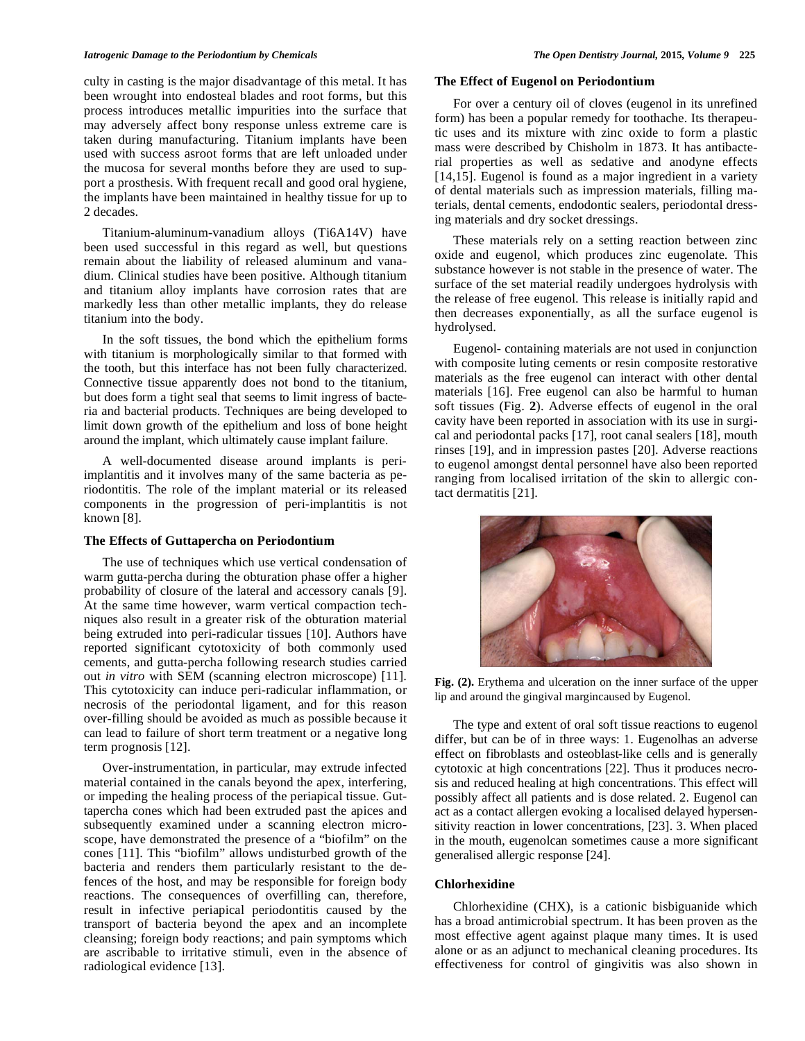#### *Iatrogenic Damage to the Periodontium by Chemicals* The Open *Integrand, 2015 The Open Dentistry Journal, 2015, Volume 9 225*

culty in casting is the major disadvantage of this metal. It has been wrought into endosteal blades and root forms, but this process introduces metallic impurities into the surface that may adversely affect bony response unless extreme care is taken during manufacturing. Titanium implants have been used with success asroot forms that are left unloaded under the mucosa for several months before they are used to support a prosthesis. With frequent recall and good oral hygiene, the implants have been maintained in healthy tissue for up to 2 decades.

Titanium-aluminum-vanadium alloys (Ti6A14V) have been used successful in this regard as well, but questions remain about the liability of released aluminum and vanadium. Clinical studies have been positive. Although titanium and titanium alloy implants have corrosion rates that are markedly less than other metallic implants, they do release titanium into the body.

In the soft tissues, the bond which the epithelium forms with titanium is morphologically similar to that formed with the tooth, but this interface has not been fully characterized. Connective tissue apparently does not bond to the titanium, but does form a tight seal that seems to limit ingress of bacteria and bacterial products. Techniques are being developed to limit down growth of the epithelium and loss of bone height around the implant, which ultimately cause implant failure.

A well-documented disease around implants is periimplantitis and it involves many of the same bacteria as periodontitis. The role of the implant material or its released components in the progression of peri-implantitis is not known [8].

#### **The Effects of Guttapercha on Periodontium**

The use of techniques which use vertical condensation of warm gutta-percha during the obturation phase offer a higher probability of closure of the lateral and accessory canals [9]. At the same time however, warm vertical compaction techniques also result in a greater risk of the obturation material being extruded into peri-radicular tissues [10]. Authors have reported significant cytotoxicity of both commonly used cements, and gutta-percha following research studies carried out *in vitro* with SEM (scanning electron microscope) [11]. This cytotoxicity can induce peri-radicular inflammation, or necrosis of the periodontal ligament, and for this reason over-filling should be avoided as much as possible because it can lead to failure of short term treatment or a negative long term prognosis [12].

Over-instrumentation, in particular, may extrude infected material contained in the canals beyond the apex, interfering, or impeding the healing process of the periapical tissue. Guttapercha cones which had been extruded past the apices and subsequently examined under a scanning electron microscope, have demonstrated the presence of a "biofilm" on the cones [11]. This "biofilm" allows undisturbed growth of the bacteria and renders them particularly resistant to the defences of the host, and may be responsible for foreign body reactions. The consequences of overfilling can, therefore, result in infective periapical periodontitis caused by the transport of bacteria beyond the apex and an incomplete cleansing; foreign body reactions; and pain symptoms which are ascribable to irritative stimuli, even in the absence of radiological evidence [13].

## **The Effect of Eugenol on Periodontium**

For over a century oil of cloves (eugenol in its unrefined form) has been a popular remedy for toothache. Its therapeutic uses and its mixture with zinc oxide to form a plastic mass were described by Chisholm in 1873. It has antibacterial properties as well as sedative and anodyne effects [14,15]. Eugenol is found as a major ingredient in a variety of dental materials such as impression materials, filling materials, dental cements, endodontic sealers, periodontal dressing materials and dry socket dressings.

These materials rely on a setting reaction between zinc oxide and eugenol, which produces zinc eugenolate. This substance however is not stable in the presence of water. The surface of the set material readily undergoes hydrolysis with the release of free eugenol. This release is initially rapid and then decreases exponentially, as all the surface eugenol is hydrolysed.

Eugenol- containing materials are not used in conjunction with composite luting cements or resin composite restorative materials as the free eugenol can interact with other dental materials [16]. Free eugenol can also be harmful to human soft tissues (Fig. **2**). Adverse effects of eugenol in the oral cavity have been reported in association with its use in surgical and periodontal packs [17], root canal sealers [18], mouth rinses [19], and in impression pastes [20]. Adverse reactions to eugenol amongst dental personnel have also been reported ranging from localised irritation of the skin to allergic contact dermatitis [21].



**Fig. (2).** Erythema and ulceration on the inner surface of the upper lip and around the gingival margincaused by Eugenol.

The type and extent of oral soft tissue reactions to eugenol differ, but can be of in three ways: 1. Eugenolhas an adverse effect on fibroblasts and osteoblast-like cells and is generally cytotoxic at high concentrations [22]. Thus it produces necrosis and reduced healing at high concentrations. This effect will possibly affect all patients and is dose related. 2. Eugenol can act as a contact allergen evoking a localised delayed hypersensitivity reaction in lower concentrations, [23]. 3. When placed in the mouth, eugenolcan sometimes cause a more significant generalised allergic response [24].

### **Chlorhexidine**

Chlorhexidine (CHX), is a cationic bisbiguanide which has a broad antimicrobial spectrum. It has been proven as the most effective agent against plaque many times. It is used alone or as an adjunct to mechanical cleaning procedures. Its effectiveness for control of gingivitis was also shown in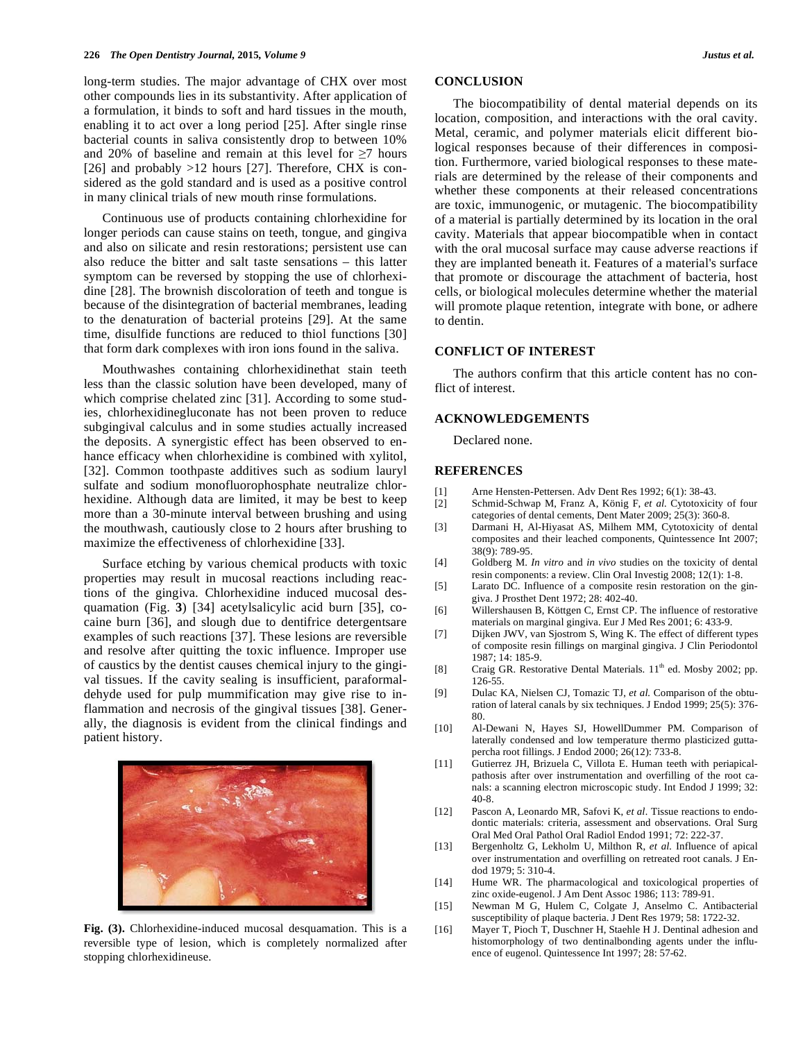long-term studies. The major advantage of CHX over most other compounds lies in its substantivity. After application of a formulation, it binds to soft and hard tissues in the mouth, enabling it to act over a long period [25]. After single rinse bacterial counts in saliva consistently drop to between 10% and 20% of baseline and remain at this level for  $\geq 7$  hours [26] and probably  $>12$  hours [27]. Therefore, CHX is considered as the gold standard and is used as a positive control in many clinical trials of new mouth rinse formulations.

Continuous use of products containing chlorhexidine for longer periods can cause stains on teeth, tongue, and gingiva and also on silicate and resin restorations; persistent use can also reduce the bitter and salt taste sensations – this latter symptom can be reversed by stopping the use of chlorhexidine [28]. The brownish discoloration of teeth and tongue is because of the disintegration of bacterial membranes, leading to the denaturation of bacterial proteins [29]. At the same time, disulfide functions are reduced to thiol functions [30] that form dark complexes with iron ions found in the saliva.

Mouthwashes containing chlorhexidinethat stain teeth less than the classic solution have been developed, many of which comprise chelated zinc [31]. According to some studies, chlorhexidinegluconate has not been proven to reduce subgingival calculus and in some studies actually increased the deposits. A synergistic effect has been observed to enhance efficacy when chlorhexidine is combined with xylitol, [32]. Common toothpaste additives such as sodium lauryl sulfate and sodium monofluorophosphate neutralize chlorhexidine. Although data are limited, it may be best to keep more than a 30-minute interval between brushing and using the mouthwash, cautiously close to 2 hours after brushing to maximize the effectiveness of chlorhexidine [33].

Surface etching by various chemical products with toxic properties may result in mucosal reactions including reactions of the gingiva. Chlorhexidine induced mucosal desquamation (Fig. **3**) [34] acetylsalicylic acid burn [35], cocaine burn [36], and slough due to dentifrice detergentsare examples of such reactions [37]. These lesions are reversible and resolve after quitting the toxic influence. Improper use of caustics by the dentist causes chemical injury to the gingival tissues. If the cavity sealing is insufficient, paraformaldehyde used for pulp mummification may give rise to inflammation and necrosis of the gingival tissues [38]. Generally, the diagnosis is evident from the clinical findings and patient history.



**Fig. (3).** Chlorhexidine-induced mucosal desquamation. This is a reversible type of lesion, which is completely normalized after stopping chlorhexidineuse.

# **CONCLUSION**

The biocompatibility of dental material depends on its location, composition, and interactions with the oral cavity. Metal, ceramic, and polymer materials elicit different biological responses because of their differences in composition. Furthermore, varied biological responses to these materials are determined by the release of their components and whether these components at their released concentrations are toxic, immunogenic, or mutagenic. The biocompatibility of a material is partially determined by its location in the oral cavity. Materials that appear biocompatible when in contact with the oral mucosal surface may cause adverse reactions if they are implanted beneath it. Features of a material's surface that promote or discourage the attachment of bacteria, host cells, or biological molecules determine whether the material will promote plaque retention, integrate with bone, or adhere to dentin.

## **CONFLICT OF INTEREST**

The authors confirm that this article content has no conflict of interest.

## **ACKNOWLEDGEMENTS**

Declared none.

#### **REFERENCES**

- [1] Arne Hensten-Pettersen. Adv Dent Res 1992; 6(1): 38-43.
- [2] Schmid-Schwap M, Franz A, König F, *et al.* Cytotoxicity of four categories of dental cements, Dent Mater 2009; 25(3): 360-8.
- [3] Darmani H, Al-Hiyasat AS, Milhem MM, Cytotoxicity of dental composites and their leached components, Quintessence Int 2007; 38(9): 789-95.
- [4] Goldberg M. *In vitro* and *in vivo* studies on the toxicity of dental resin components: a review. Clin Oral Investig 2008; 12(1): 1-8.
- [5] Larato DC. Influence of a composite resin restoration on the gingiva. J Prosthet Dent 1972; 28: 402-40.
- [6] Willershausen B, Köttgen C, Ernst CP. The influence of restorative materials on marginal gingiva. Eur J Med Res 2001; 6: 433-9.
- [7] Dijken JWV, van Sjostrom S, Wing K. The effect of different types of composite resin fillings on marginal gingiva. J Clin Periodontol 1987; 14: 185-9.
- [8] Craig GR. Restorative Dental Materials. 11<sup>th</sup> ed. Mosby 2002; pp. 126-55.
- [9] Dulac KA, Nielsen CJ, Tomazic TJ, *et al.* Comparison of the obturation of lateral canals by six techniques. J Endod 1999; 25(5): 376- 80.
- [10] Al-Dewani N, Hayes SJ, HowellDummer PM. Comparison of laterally condensed and low temperature thermo plasticized guttapercha root fillings. J Endod 2000; 26(12): 733-8.
- [11] Gutierrez JH, Brizuela C, Villota E. Human teeth with periapicalpathosis after over instrumentation and overfilling of the root canals: a scanning electron microscopic study. Int Endod J 1999; 32: 40-8.
- [12] Pascon A, Leonardo MR, Safovi K, *et al.* Tissue reactions to endodontic materials: criteria, assessment and observations. Oral Surg Oral Med Oral Pathol Oral Radiol Endod 1991; 72: 222-37.
- [13] Bergenholtz G, Lekholm U, Milthon R, *et al.* Influence of apical over instrumentation and overfilling on retreated root canals. J Endod 1979; 5: 310-4.
- [14] Hume WR. The pharmacological and toxicological properties of zinc oxide-eugenol. J Am Dent Assoc 1986; 113: 789-91.
- [15] Newman M G, Hulem C, Colgate J, Anselmo C. Antibacterial susceptibility of plaque bacteria. J Dent Res 1979; 58: 1722-32.
- [16] Mayer T, Pioch T, Duschner H, Staehle H J. Dentinal adhesion and histomorphology of two dentinalbonding agents under the influence of eugenol. Quintessence Int 1997; 28: 57-62.